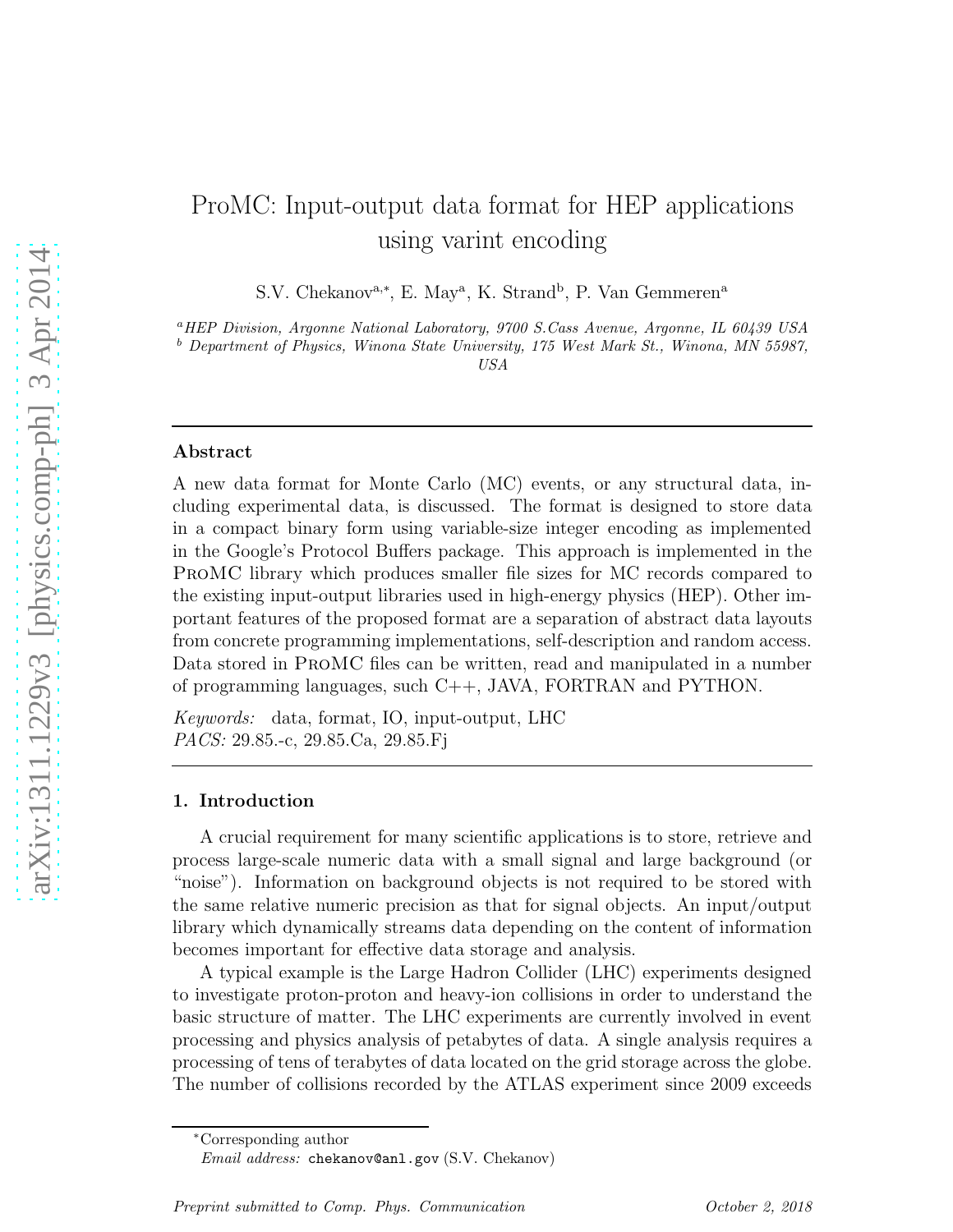# ProMC: Input-output data format for HEP applications using varint encoding

S.V. Chekanov<sup>a,\*</sup>, E. May<sup>a</sup>, K. Strand<sup>b</sup>, P. Van Gemmeren<sup>a</sup>

<sup>a</sup>*HEP Division, Argonne National Laboratory, 9700 S.Cass Avenue, Argonne, IL 60439 USA*

<sup>b</sup> *Department of Physics, Winona State University, 175 West Mark St., Winona, MN 55987,*

*USA*

#### Abstract

A new data format for Monte Carlo (MC) events, or any structural data, including experimental data, is discussed. The format is designed to store data in a compact binary form using variable-size integer encoding as implemented in the Google's Protocol Buffers package. This approach is implemented in the ProMC library which produces smaller file sizes for MC records compared to the existing input-output libraries used in high-energy physics (HEP). Other important features of the proposed format are a separation of abstract data layouts from concrete programming implementations, self-description and random access. Data stored in ProMC files can be written, read and manipulated in a number of programming languages, such  $C_{++}$ , JAVA, FORTRAN and PYTHON.

*Keywords:* data, format, IO, input-output, LHC *PACS:* 29.85.-c, 29.85.Ca, 29.85.Fj

#### 1. Introduction

A crucial requirement for many scientific applications is to store, retrieve and process large-scale numeric data with a small signal and large background (or "noise"). Information on background objects is not required to be stored with the same relative numeric precision as that for signal objects. An input/output library which dynamically streams data depending on the content of information becomes important for effective data storage and analysis.

A typical example is the Large Hadron Collider (LHC) experiments designed to investigate proton-proton and heavy-ion collisions in order to understand the basic structure of matter. The LHC experiments are currently involved in event processing and physics analysis of petabytes of data. A single analysis requires a processing of tens of terabytes of data located on the grid storage across the globe. The number of collisions recorded by the ATLAS experiment since 2009 exceeds

<sup>∗</sup>Corresponding author

*Email address:* chekanov@anl.gov (S.V. Chekanov)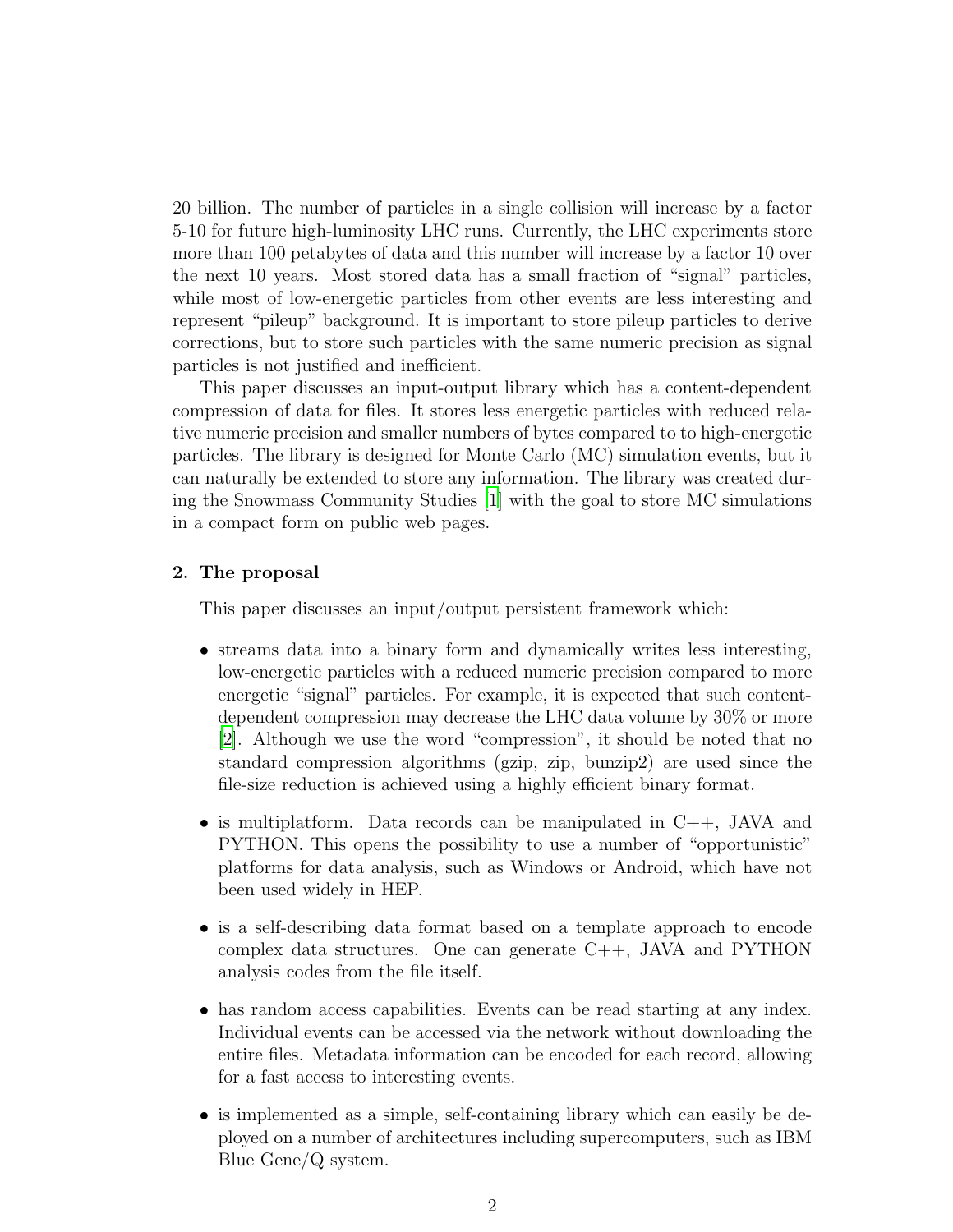20 billion. The number of particles in a single collision will increase by a factor 5-10 for future high-luminosity LHC runs. Currently, the LHC experiments store more than 100 petabytes of data and this number will increase by a factor 10 over the next 10 years. Most stored data has a small fraction of "signal" particles, while most of low-energetic particles from other events are less interesting and represent "pileup" background. It is important to store pileup particles to derive corrections, but to store such particles with the same numeric precision as signal particles is not justified and inefficient.

This paper discusses an input-output library which has a content-dependent compression of data for files. It stores less energetic particles with reduced relative numeric precision and smaller numbers of bytes compared to to high-energetic particles. The library is designed for Monte Carlo (MC) simulation events, but it can naturally be extended to store any information. The library was created during the Snowmass Community Studies [\[1](#page-12-0)] with the goal to store MC simulations in a compact form on public web pages.

# 2. The proposal

This paper discusses an input/output persistent framework which:

- streams data into a binary form and dynamically writes less interesting, low-energetic particles with a reduced numeric precision compared to more energetic "signal" particles. For example, it is expected that such contentdependent compression may decrease the LHC data volume by 30% or more [\[2](#page-12-1)]. Although we use the word "compression", it should be noted that no standard compression algorithms (gzip, zip, bunzip2) are used since the file-size reduction is achieved using a highly efficient binary format.
- is multiplatform. Data records can be manipulated in  $C_{++}$ , JAVA and PYTHON. This opens the possibility to use a number of "opportunistic" platforms for data analysis, such as Windows or Android, which have not been used widely in HEP.
- is a self-describing data format based on a template approach to encode complex data structures. One can generate C++, JAVA and PYTHON analysis codes from the file itself.
- has random access capabilities. Events can be read starting at any index. Individual events can be accessed via the network without downloading the entire files. Metadata information can be encoded for each record, allowing for a fast access to interesting events.
- is implemented as a simple, self-containing library which can easily be deployed on a number of architectures including supercomputers, such as IBM Blue Gene/Q system.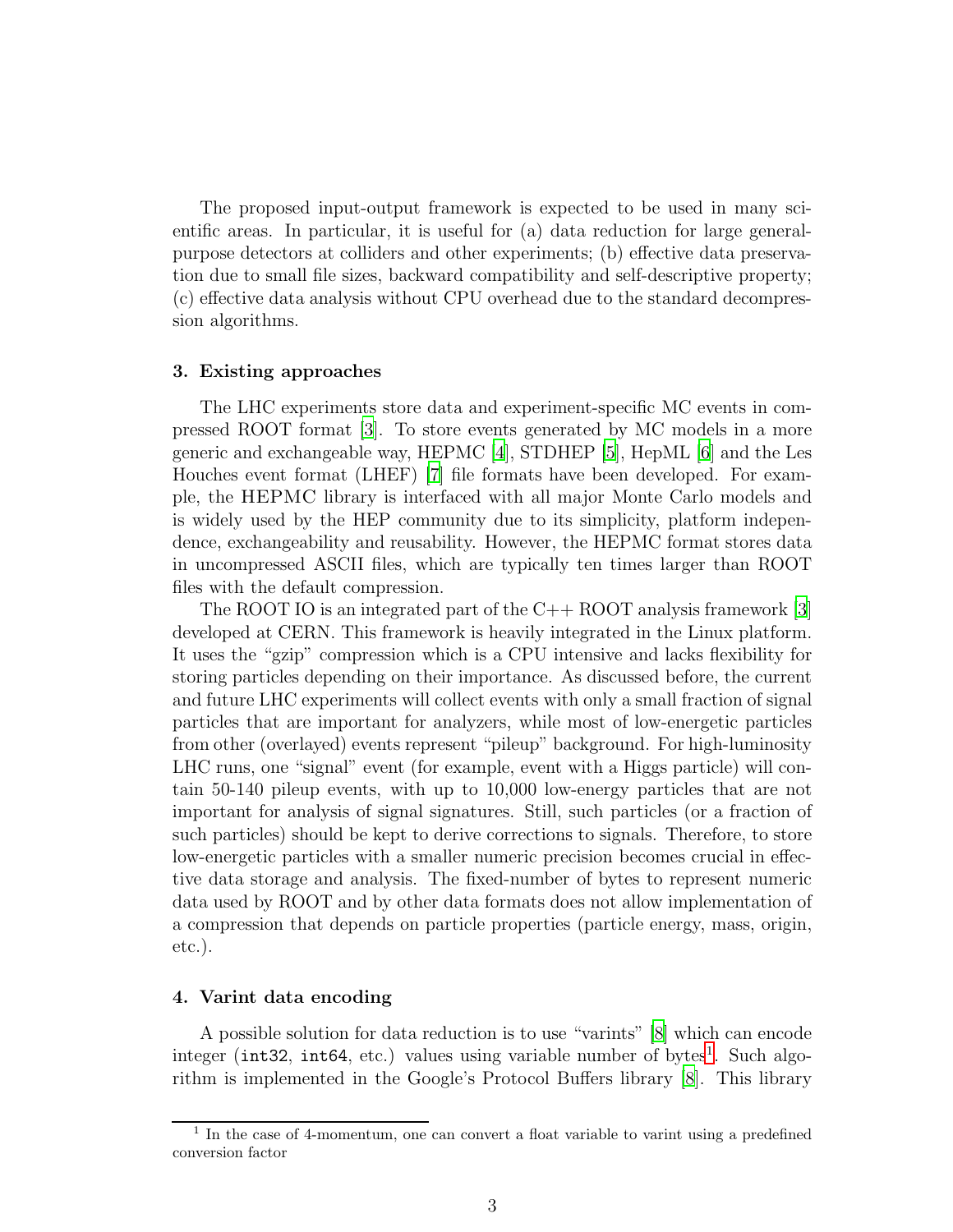The proposed input-output framework is expected to be used in many scientific areas. In particular, it is useful for (a) data reduction for large generalpurpose detectors at colliders and other experiments; (b) effective data preservation due to small file sizes, backward compatibility and self-descriptive property; (c) effective data analysis without CPU overhead due to the standard decompression algorithms.

## 3. Existing approaches

The LHC experiments store data and experiment-specific MC events in compressed ROOT format [\[3\]](#page-12-2). To store events generated by MC models in a more generic and exchangeable way, HEPMC [\[4](#page-12-3)], STDHEP [\[5](#page-12-4)], HepML [\[6](#page-12-5)] and the Les Houches event format (LHEF) [\[7](#page-12-6)] file formats have been developed. For example, the HEPMC library is interfaced with all major Monte Carlo models and is widely used by the HEP community due to its simplicity, platform independence, exchangeability and reusability. However, the HEPMC format stores data in uncompressed ASCII files, which are typically ten times larger than ROOT files with the default compression.

The ROOT IO is an integrated part of the  $C_{++}$  ROOT analysis framework [\[3\]](#page-12-2) developed at CERN. This framework is heavily integrated in the Linux platform. It uses the "gzip" compression which is a CPU intensive and lacks flexibility for storing particles depending on their importance. As discussed before, the current and future LHC experiments will collect events with only a small fraction of signal particles that are important for analyzers, while most of low-energetic particles from other (overlayed) events represent "pileup" background. For high-luminosity LHC runs, one "signal" event (for example, event with a Higgs particle) will contain 50-140 pileup events, with up to 10,000 low-energy particles that are not important for analysis of signal signatures. Still, such particles (or a fraction of such particles) should be kept to derive corrections to signals. Therefore, to store low-energetic particles with a smaller numeric precision becomes crucial in effective data storage and analysis. The fixed-number of bytes to represent numeric data used by ROOT and by other data formats does not allow implementation of a compression that depends on particle properties (particle energy, mass, origin, etc.).

#### 4. Varint data encoding

A possible solution for data reduction is to use "varints" [\[8](#page-12-7)] which can encode integer (int32, int64, etc.) values using variable number of bytes<sup>[1](#page-2-0)</sup>. Such algorithm is implemented in the Google's Protocol Buffers library [\[8](#page-12-7)]. This library

<span id="page-2-0"></span><sup>&</sup>lt;sup>1</sup> In the case of 4-momentum, one can convert a float variable to varint using a predefined conversion factor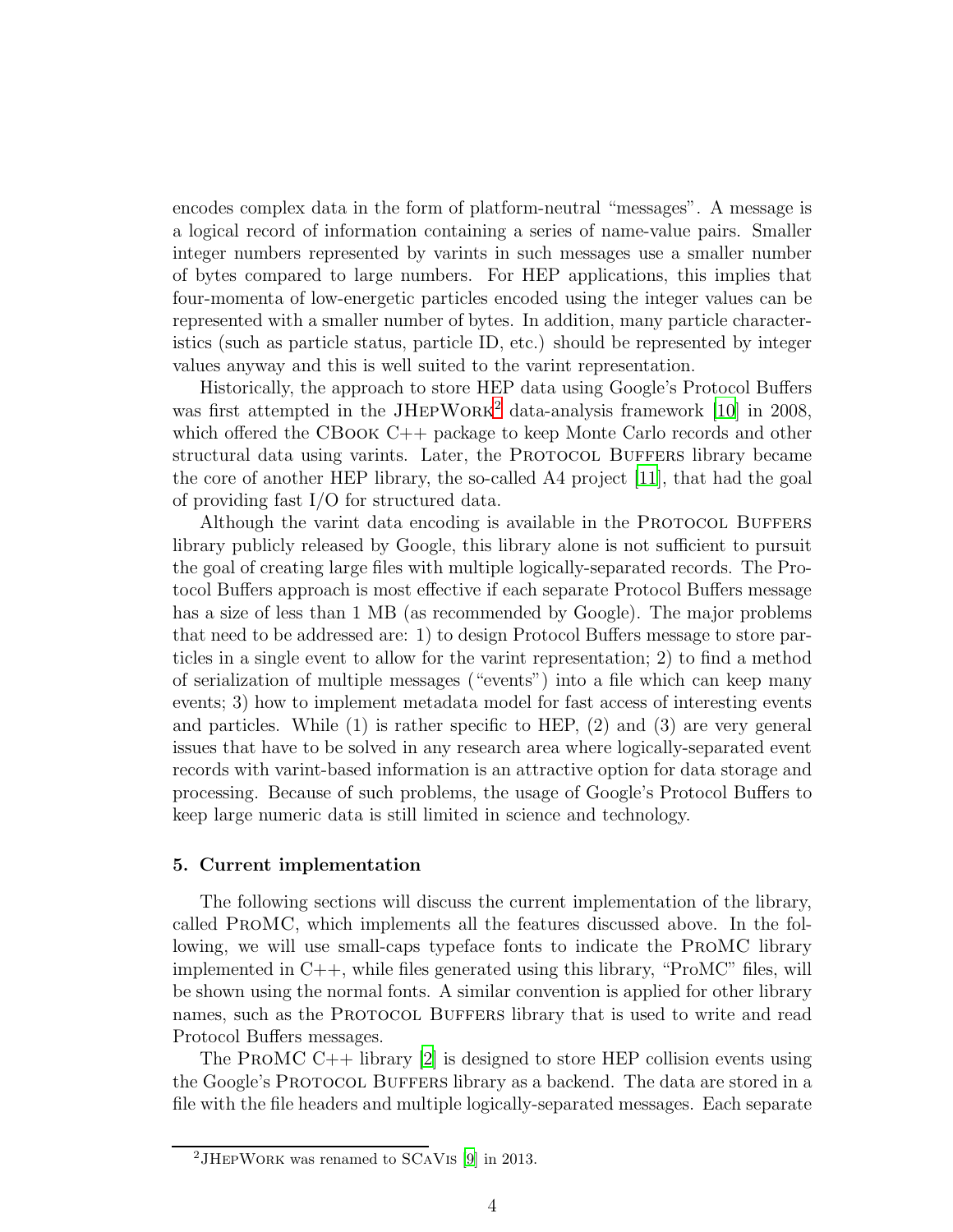encodes complex data in the form of platform-neutral "messages". A message is a logical record of information containing a series of name-value pairs. Smaller integer numbers represented by varints in such messages use a smaller number of bytes compared to large numbers. For HEP applications, this implies that four-momenta of low-energetic particles encoded using the integer values can be represented with a smaller number of bytes. In addition, many particle characteristics (such as particle status, particle ID, etc.) should be represented by integer values anyway and this is well suited to the varint representation.

Historically, the approach to store HEP data using Google's Protocol Buffers was first attempted in the JHEPWORK<sup>[2](#page-3-0)</sup> data-analysis framework [\[10\]](#page-12-8) in 2008, which offered the CBOOK C++ package to keep Monte Carlo records and other structural data using varints. Later, the PROTOCOL BUFFERS library became the core of another HEP library, the so-called A4 project [\[11](#page-12-9)], that had the goal of providing fast I/O for structured data.

Although the varint data encoding is available in the PROTOCOL BUFFERS library publicly released by Google, this library alone is not sufficient to pursuit the goal of creating large files with multiple logically-separated records. The Protocol Buffers approach is most effective if each separate Protocol Buffers message has a size of less than 1 MB (as recommended by Google). The major problems that need to be addressed are: 1) to design Protocol Buffers message to store particles in a single event to allow for the varint representation; 2) to find a method of serialization of multiple messages ("events") into a file which can keep many events; 3) how to implement metadata model for fast access of interesting events and particles. While (1) is rather specific to HEP, (2) and (3) are very general issues that have to be solved in any research area where logically-separated event records with varint-based information is an attractive option for data storage and processing. Because of such problems, the usage of Google's Protocol Buffers to keep large numeric data is still limited in science and technology.

#### <span id="page-3-1"></span>5. Current implementation

The following sections will discuss the current implementation of the library, called ProMC, which implements all the features discussed above. In the following, we will use small-caps typeface fonts to indicate the ProMC library implemented in C++, while files generated using this library, "ProMC" files, will be shown using the normal fonts. A similar convention is applied for other library names, such as the PROTOCOL BUFFERS library that is used to write and read Protocol Buffers messages.

The ProMC C++ library [\[2](#page-12-1)] is designed to store HEP collision events using the Google's PROTOCOL BUFFERS library as a backend. The data are stored in a file with the file headers and multiple logically-separated messages. Each separate

<span id="page-3-0"></span><sup>2</sup>JHepWork was renamed to SCaVis [\[9\]](#page-12-10) in 2013.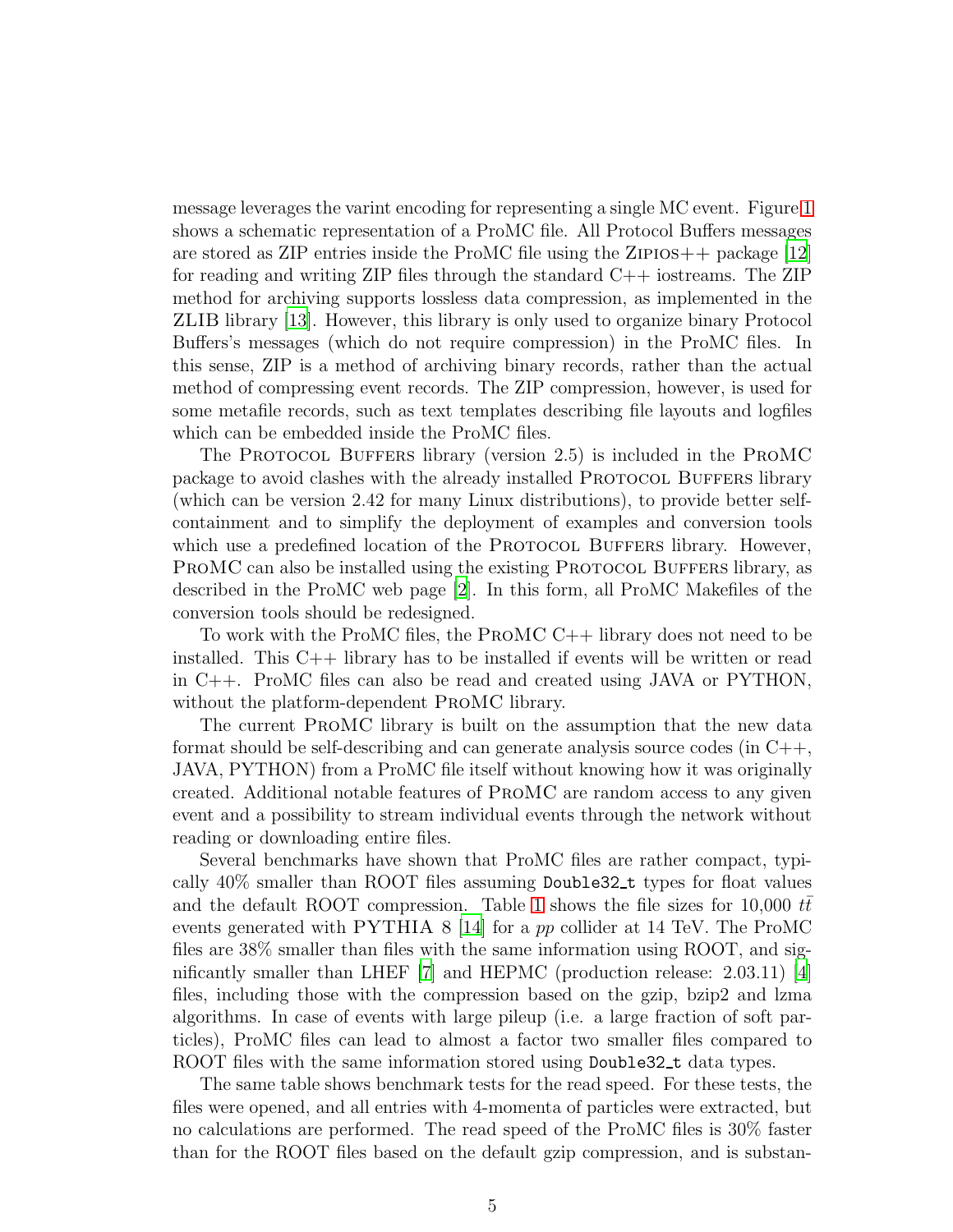message leverages the varint encoding for representing a single MC event. Figure [1](#page-5-0) shows a schematic representation of a ProMC file. All Protocol Buffers messages are stored as ZIP entries inside the ProMC file using the ZIPIOS $++$  package [\[12\]](#page-12-11) for reading and writing ZIP files through the standard C++ iostreams. The ZIP method for archiving supports lossless data compression, as implemented in the ZLIB library [\[13](#page-12-12)]. However, this library is only used to organize binary Protocol Buffers's messages (which do not require compression) in the ProMC files. In this sense, ZIP is a method of archiving binary records, rather than the actual method of compressing event records. The ZIP compression, however, is used for some metafile records, such as text templates describing file layouts and logfiles which can be embedded inside the ProMC files.

The PROTOCOL BUFFERS library (version 2.5) is included in the PROMC package to avoid clashes with the already installed PROTOCOL BUFFERS library (which can be version 2.42 for many Linux distributions), to provide better selfcontainment and to simplify the deployment of examples and conversion tools which use a predefined location of the PROTOCOL BUFFERS library. However, PROMC can also be installed using the existing PROTOCOL BUFFERS library, as described in the ProMC web page [\[2](#page-12-1)]. In this form, all ProMC Makefiles of the conversion tools should be redesigned.

To work with the ProMC files, the ProMC C++ library does not need to be installed. This C++ library has to be installed if events will be written or read in C++. ProMC files can also be read and created using JAVA or PYTHON, without the platform-dependent ProMC library.

The current ProMC library is built on the assumption that the new data format should be self-describing and can generate analysis source codes (in  $C++$ , JAVA, PYTHON) from a ProMC file itself without knowing how it was originally created. Additional notable features of ProMC are random access to any given event and a possibility to stream individual events through the network without reading or downloading entire files.

Several benchmarks have shown that ProMC files are rather compact, typically 40% smaller than ROOT files assuming Double32 t types for float values and the default ROOT compression. Table [1](#page-14-0) shows the file sizes for 10,000  $tt$ events generated with PYTHIA 8 [\[14](#page-13-0)] for a pp collider at 14 TeV. The ProMC files are 38% smaller than files with the same information using ROOT, and significantly smaller than LHEF  $|7|$  and HEPMC (production release: 2.03.11)  $|4|$ files, including those with the compression based on the gzip, bzip2 and lzma algorithms. In case of events with large pileup (i.e. a large fraction of soft particles), ProMC files can lead to almost a factor two smaller files compared to ROOT files with the same information stored using Double32<sub>-t</sub> data types.

The same table shows benchmark tests for the read speed. For these tests, the files were opened, and all entries with 4-momenta of particles were extracted, but no calculations are performed. The read speed of the ProMC files is 30% faster than for the ROOT files based on the default gzip compression, and is substan-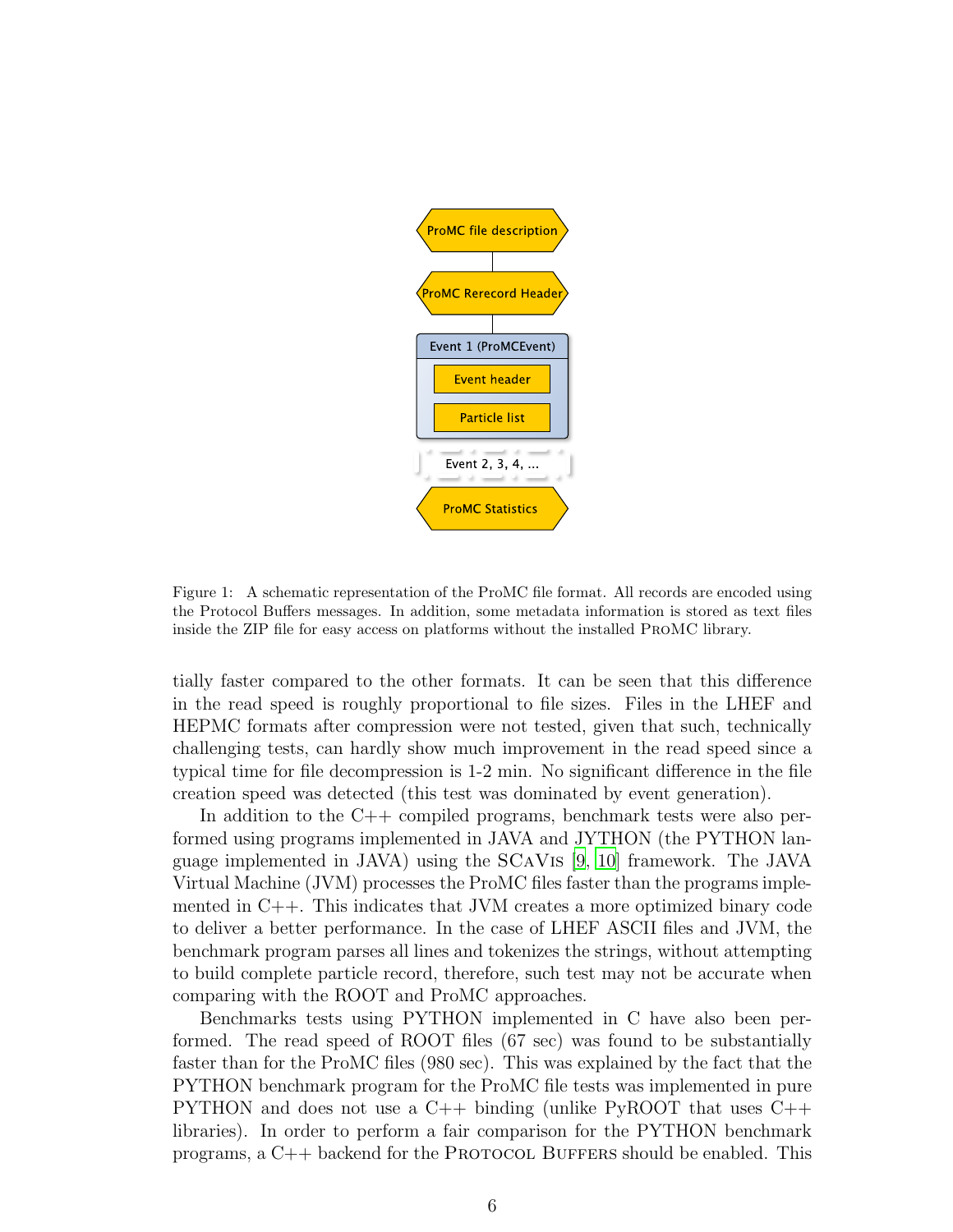

<span id="page-5-0"></span>Figure 1: A schematic representation of the ProMC file format. All records are encoded using the Protocol Buffers messages. In addition, some metadata information is stored as text files inside the ZIP file for easy access on platforms without the installed ProMC library.

tially faster compared to the other formats. It can be seen that this difference in the read speed is roughly proportional to file sizes. Files in the LHEF and HEPMC formats after compression were not tested, given that such, technically challenging tests, can hardly show much improvement in the read speed since a typical time for file decompression is 1-2 min. No significant difference in the file creation speed was detected (this test was dominated by event generation).

In addition to the  $C++$  compiled programs, benchmark tests were also performed using programs implemented in JAVA and JYTHON (the PYTHON language implemented in JAVA) using the SCaVis [\[9](#page-12-10), [10\]](#page-12-8) framework. The JAVA Virtual Machine (JVM) processes the ProMC files faster than the programs implemented in  $C_{++}$ . This indicates that JVM creates a more optimized binary code to deliver a better performance. In the case of LHEF ASCII files and JVM, the benchmark program parses all lines and tokenizes the strings, without attempting to build complete particle record, therefore, such test may not be accurate when comparing with the ROOT and ProMC approaches.

Benchmarks tests using PYTHON implemented in C have also been performed. The read speed of ROOT files (67 sec) was found to be substantially faster than for the ProMC files (980 sec). This was explained by the fact that the PYTHON benchmark program for the ProMC file tests was implemented in pure PYTHON and does not use a C++ binding (unlike PyROOT that uses C++ libraries). In order to perform a fair comparison for the PYTHON benchmark programs, a  $C_{++}$  backend for the PROTOCOL BUFFERS should be enabled. This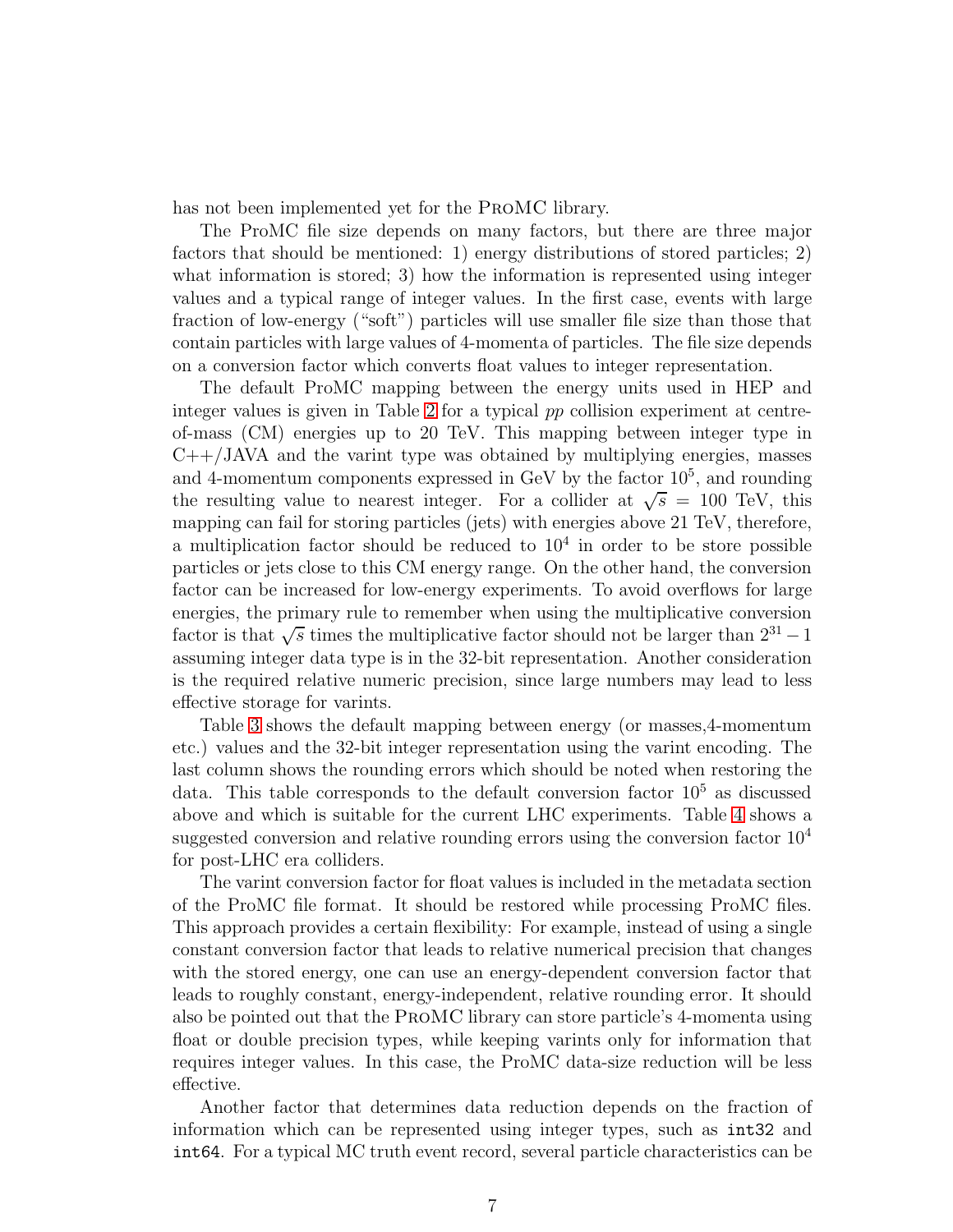has not been implemented yet for the ProMC library.

The ProMC file size depends on many factors, but there are three major factors that should be mentioned: 1) energy distributions of stored particles; 2) what information is stored; 3) how the information is represented using integer values and a typical range of integer values. In the first case, events with large fraction of low-energy ("soft") particles will use smaller file size than those that contain particles with large values of 4-momenta of particles. The file size depends on a conversion factor which converts float values to integer representation.

The default ProMC mapping between the energy units used in HEP and integer values is given in Table [2](#page-15-0) for a typical pp collision experiment at centreof-mass (CM) energies up to 20 TeV. This mapping between integer type in  $C++/JAVA$  and the varint type was obtained by multiplying energies, masses and 4-momentum components expressed in GeV by the factor  $10<sup>5</sup>$ , and rounding the resulting value to nearest integer. For a collider at  $\sqrt{s}$  = 100 TeV, this mapping can fail for storing particles (jets) with energies above 21 TeV, therefore, a multiplication factor should be reduced to  $10<sup>4</sup>$  in order to be store possible particles or jets close to this CM energy range. On the other hand, the conversion factor can be increased for low-energy experiments. To avoid overflows for large energies, the primary rule to remember when using the multiplicative conversion factor is that  $\sqrt{s}$  times the multiplicative factor should not be larger than  $2^{31} - 1$ assuming integer data type is in the 32-bit representation. Another consideration is the required relative numeric precision, since large numbers may lead to less effective storage for varints.

Table [3](#page-15-1) shows the default mapping between energy (or masses,4-momentum etc.) values and the 32-bit integer representation using the varint encoding. The last column shows the rounding errors which should be noted when restoring the data. This table corresponds to the default conversion factor  $10<sup>5</sup>$  as discussed above and which is suitable for the current LHC experiments. Table [4](#page-15-2) shows a suggested conversion and relative rounding errors using the conversion factor  $10^4$ for post-LHC era colliders.

The varint conversion factor for float values is included in the metadata section of the ProMC file format. It should be restored while processing ProMC files. This approach provides a certain flexibility: For example, instead of using a single constant conversion factor that leads to relative numerical precision that changes with the stored energy, one can use an energy-dependent conversion factor that leads to roughly constant, energy-independent, relative rounding error. It should also be pointed out that the ProMC library can store particle's 4-momenta using float or double precision types, while keeping varints only for information that requires integer values. In this case, the ProMC data-size reduction will be less effective.

Another factor that determines data reduction depends on the fraction of information which can be represented using integer types, such as int32 and int64. For a typical MC truth event record, several particle characteristics can be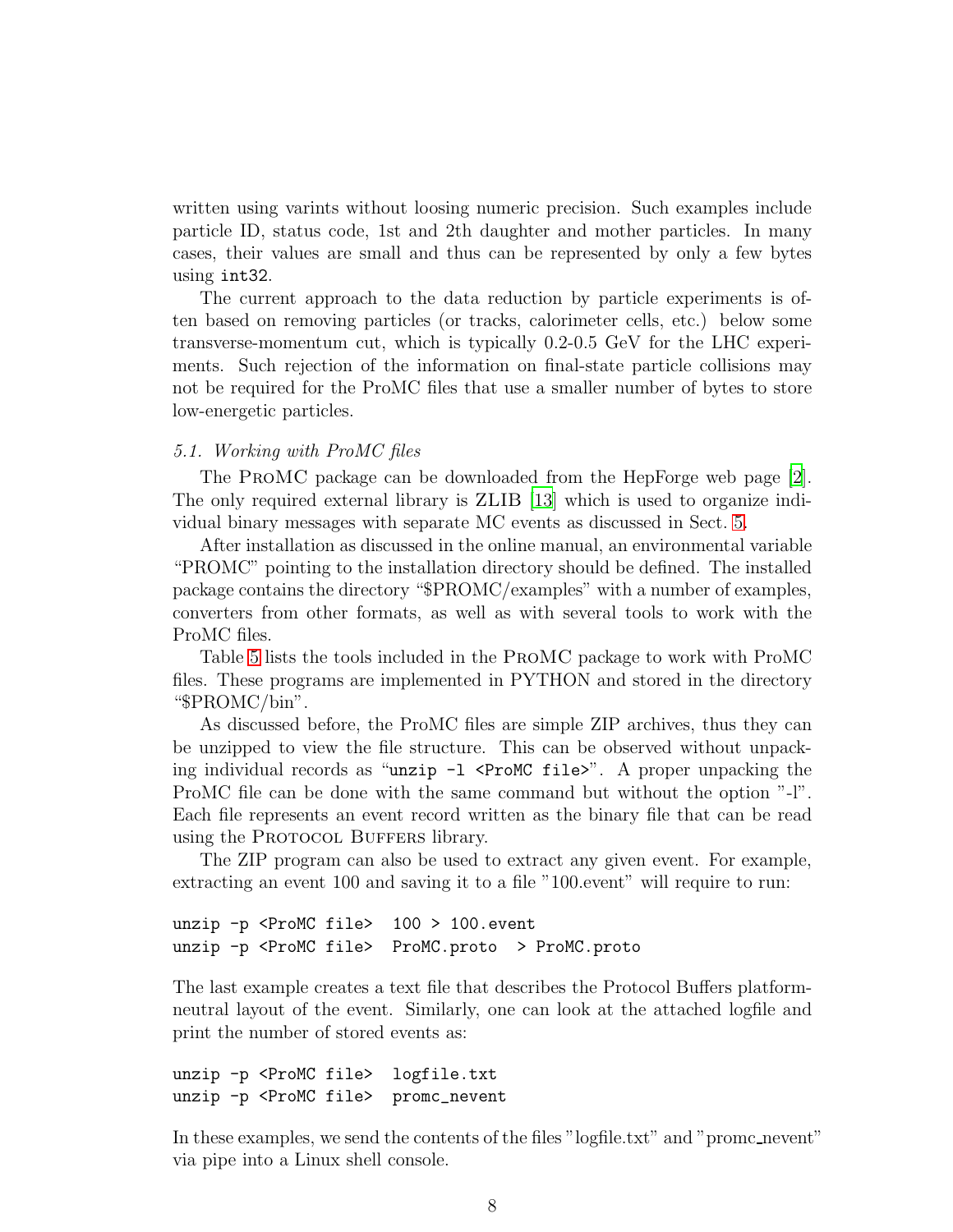written using varints without loosing numeric precision. Such examples include particle ID, status code, 1st and 2th daughter and mother particles. In many cases, their values are small and thus can be represented by only a few bytes using int32.

The current approach to the data reduction by particle experiments is often based on removing particles (or tracks, calorimeter cells, etc.) below some transverse-momentum cut, which is typically 0.2-0.5 GeV for the LHC experiments. Such rejection of the information on final-state particle collisions may not be required for the ProMC files that use a smaller number of bytes to store low-energetic particles.

# *5.1. Working with ProMC files*

The ProMC package can be downloaded from the HepForge web page [\[2](#page-12-1)]. The only required external library is ZLIB [\[13\]](#page-12-12) which is used to organize individual binary messages with separate MC events as discussed in Sect. [5.](#page-3-1)

After installation as discussed in the online manual, an environmental variable "PROMC" pointing to the installation directory should be defined. The installed package contains the directory "\$PROMC/examples" with a number of examples, converters from other formats, as well as with several tools to work with the ProMC files.

Table [5](#page-16-0) lists the tools included in the ProMC package to work with ProMC files. These programs are implemented in PYTHON and stored in the directory "\$PROMC/bin".

As discussed before, the ProMC files are simple ZIP archives, thus they can be unzipped to view the file structure. This can be observed without unpacking individual records as "unzip  $-1$  <ProMC file>". A proper unpacking the ProMC file can be done with the same command but without the option "-l". Each file represents an event record written as the binary file that can be read using the PROTOCOL BUFFERS library.

The ZIP program can also be used to extract any given event. For example, extracting an event 100 and saving it to a file "100.event" will require to run:

```
unzip -p <ProMC file> 100 > 100.event
unzip -p <ProMC file> ProMC.proto > ProMC.proto
```
The last example creates a text file that describes the Protocol Buffers platformneutral layout of the event. Similarly, one can look at the attached logfile and print the number of stored events as:

```
unzip -p <ProMC file> logfile.txt
unzip -p <ProMC file> promc_nevent
```
In these examples, we send the contents of the files "logfile.txt" and "promc\_nevent" via pipe into a Linux shell console.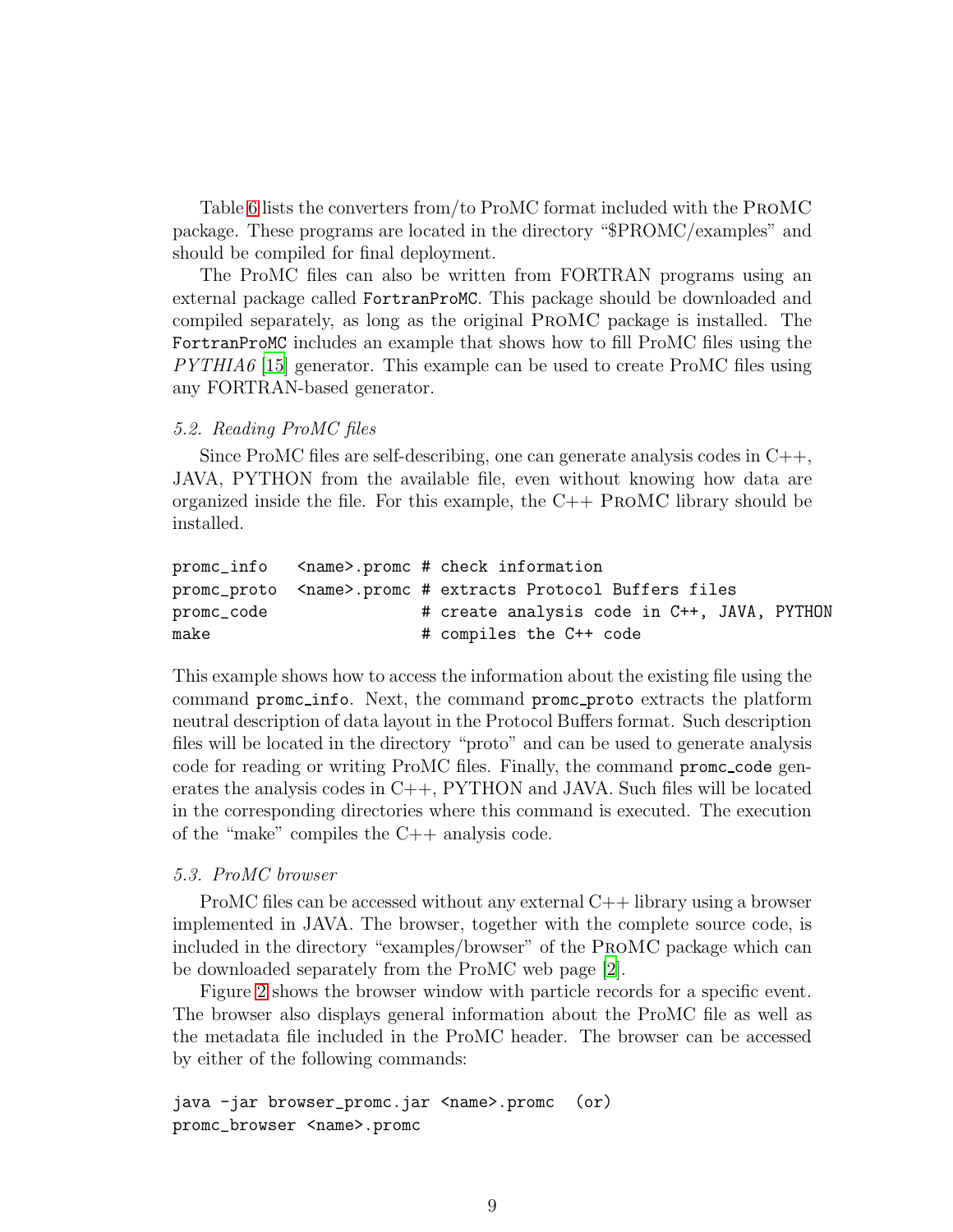Table [6](#page-16-1) lists the converters from/to ProMC format included with the ProMC package. These programs are located in the directory "\$PROMC/examples" and should be compiled for final deployment.

The ProMC files can also be written from FORTRAN programs using an external package called FortranProMC. This package should be downloaded and compiled separately, as long as the original ProMC package is installed. The FortranProMC includes an example that shows how to fill ProMC files using the *PYTHIA6* [\[15\]](#page-13-1) generator. This example can be used to create ProMC files using any FORTRAN-based generator.

## *5.2. Reading ProMC files*

Since ProMC files are self-describing, one can generate analysis codes in C++, JAVA, PYTHON from the available file, even without knowing how data are organized inside the file. For this example, the  $C_{++}$  PROMC library should be installed.

```
promc_info <name>.promc # check information
promc_proto <name>.promc # extracts Protocol Buffers files
promc_code \qquad # create analysis code in C++, JAVA, PYTHON
make \# compiles the C++ code
```
This example shows how to access the information about the existing file using the command promc info. Next, the command promc proto extracts the platform neutral description of data layout in the Protocol Buffers format. Such description files will be located in the directory "proto" and can be used to generate analysis code for reading or writing ProMC files. Finally, the command promc code generates the analysis codes in  $C_{++}$ , PYTHON and JAVA. Such files will be located in the corresponding directories where this command is executed. The execution of the "make" compiles the C++ analysis code.

## *5.3. ProMC browser*

ProMC files can be accessed without any external C++ library using a browser implemented in JAVA. The browser, together with the complete source code, is included in the directory "examples/browser" of the ProMC package which can be downloaded separately from the ProMC web page [\[2\]](#page-12-1).

Figure [2](#page-9-0) shows the browser window with particle records for a specific event. The browser also displays general information about the ProMC file as well as the metadata file included in the ProMC header. The browser can be accessed by either of the following commands:

```
java -jar browser_promc.jar <name>.promc (or)
promc_browser <name>.promc
```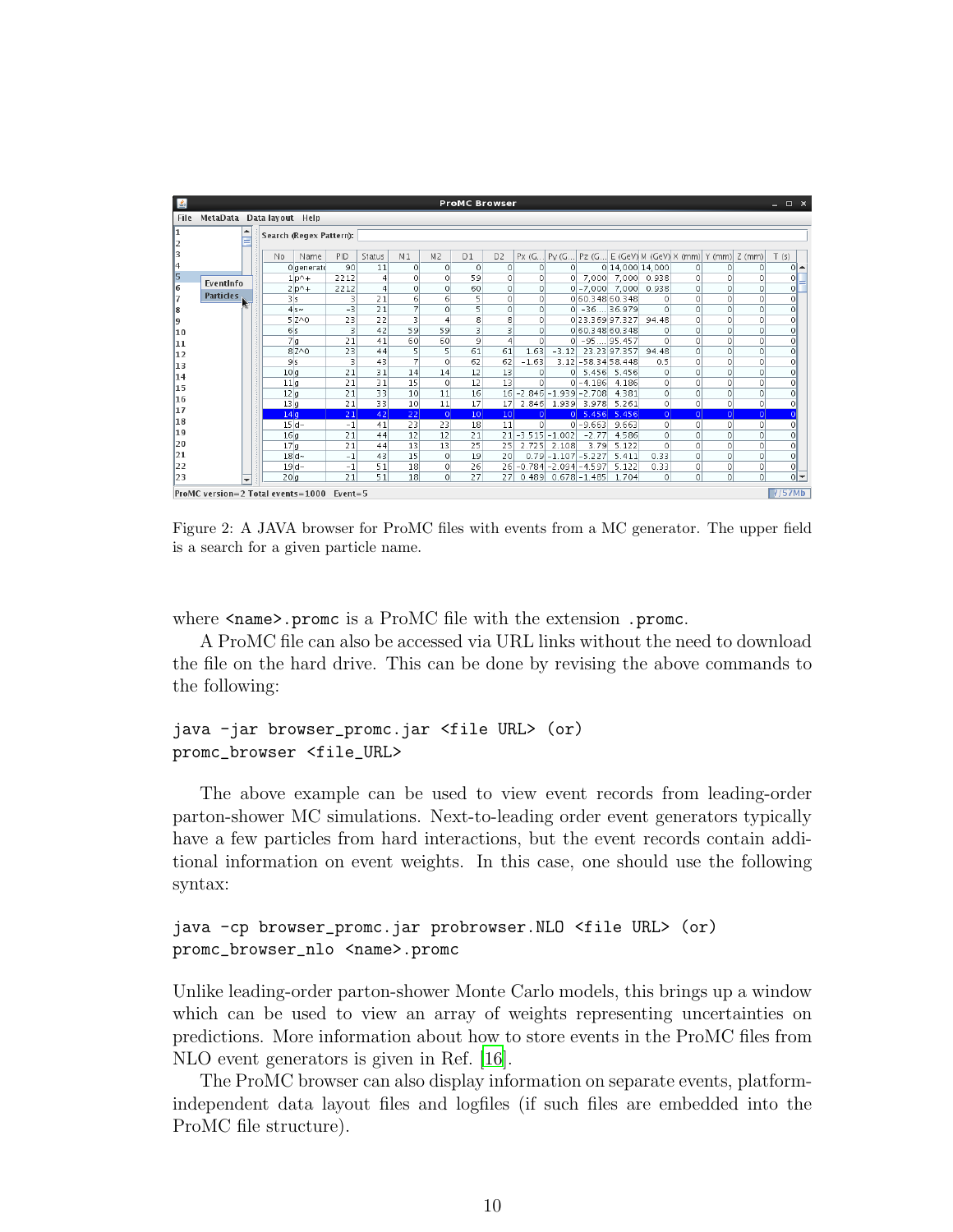| 區                                                   |                           |                         |                         |          |                |                       |                 |                       | <b>ProMC Browser</b> |                    |          |                                |              |                   |                                            |                      |              | $  \times$ |
|-----------------------------------------------------|---------------------------|-------------------------|-------------------------|----------|----------------|-----------------------|-----------------|-----------------------|----------------------|--------------------|----------|--------------------------------|--------------|-------------------|--------------------------------------------|----------------------|--------------|------------|
| File                                                | MetaData Data layout Help |                         |                         |          |                |                       |                 |                       |                      |                    |          |                                |              |                   |                                            |                      |              |            |
|                                                     | ▲                         |                         | Search (Regex Pattern): |          |                |                       |                 |                       |                      |                    |          |                                |              |                   |                                            |                      |              |            |
|                                                     |                           | No                      | Name                    | PID      | Status         | M <sub>1</sub>        | M <sub>2</sub>  | D1                    | D <sub>2</sub>       | Px(G               | PV(G     |                                |              |                   | Pz (G E (GeV) M (GeV) X (mm) Y (mm) Z (mm) |                      |              | T(5)       |
| 14                                                  |                           |                         | Olgenerato              | 90       | 11             | $\Omega$              | $\Omega$        | 0                     | $\Omega$             | $\Omega$           | $\Omega$ |                                |              | 0 14,000 14,000   | $\Omega$                                   | $\Omega$             | 0            | $0 -$      |
| 15                                                  | EventInfo                 |                         | $1p^2+$                 | 2212     | $\overline{4}$ | $\Omega$              | $\Omega$        | 59                    | $\circ$              | $\Omega$           | $\Omega$ |                                |              | 7,000 7,000 0.938 | $\Omega$                                   | $\Omega$             | $\Omega$     | $\Omega$   |
| 6                                                   | <b>Particles</b>          |                         | $2 p^{\wedge}+$         | 2212     | $\overline{4}$ | $\circ$               | $\circ$         | 60                    | $\circ$              | $\Omega$           |          | $0$   -7,000   7,000   0.938   |              |                   | $\Omega$                                   | $\circ$              | $\Omega$     | $\circ$    |
|                                                     |                           | 3s                      |                         | 3        | 21             | 6                     | 6               | 5                     | 0                    | $\Omega$           |          | 0 60 348 60 348                |              | $\Omega$          | $\circ$                                    | $\Omega$             | 0            | $\circ$    |
| 8                                                   |                           |                         | $4s$ ~                  | $-3$     | 21             | $\overline{7}$        | $\Omega$        | 5                     | $\circ$              | $\Omega$           |          | $0$ $-36$ 36.979               |              | $\Omega$          | $\circ$                                    | $\Omega$             | 0            | $\circ$    |
| 9                                                   |                           |                         | $5Z^0$                  | 23       | 22             | 3                     | 4               | 8                     | 8                    | $\Omega$           |          | 0 23.369 97.327                |              | 94.48             | 0                                          | $\Omega$             | 0            | $\circ$    |
| 10                                                  |                           | 6s                      |                         | 3        | 42             | 59                    | 59              | 3                     | 3                    | $\Omega$           |          | 0 60.348 60.348                |              | 0                 | $\circ$                                    | $\Omega$             | 0            | $\circ$    |
| 11                                                  |                           | 7 <sub>a</sub>          |                         | 21       | 41             | 60                    | 60              | 9                     | $\overline{4}$       | $\Omega$           |          | $0$   -95 $ 95.457$            |              | $\Omega$          | 0                                          | $\Omega$             | 0            | 0          |
| 12                                                  |                           |                         | $82^0$                  | 23       | 44             | 5                     | 5               | 61                    | 61                   | 1.63               | $-3.12$  |                                | 23.23 97.357 | 94.48             | $\Omega$                                   | $\Omega$             | 0            | $\Omega$   |
| 13                                                  |                           | 9s                      |                         | 3        | 43             | 7                     | $\Omega$        | 62                    | 62                   | $-1.63$            |          | 3.12 - 58.34 58.448            |              | 0.5               | 0                                          | $\Omega$             | 0            | $\Omega$   |
| 14                                                  |                           | 10 <sub>a</sub>         |                         | 21       | 31             | 14                    | 14              | 12                    | 13                   | $\Omega$           | $\Omega$ |                                | 5 456 5.456  | $\circ$           | $\Omega$                                   | $\Omega$             | 0            | $\Omega$   |
| 15                                                  |                           | 11q                     |                         | 21       | 31             | 15                    | $\Omega$        | 12                    | 13                   | $\Omega$           |          | $0 - 4.186$                    | 4.186        | $\Omega$          | $\Omega$                                   | $\Omega$             | 0            | $\Omega$   |
| 16                                                  |                           | 12 <sub>a</sub>         |                         | 21       | 33             | 10                    | 11              | 16                    | 16<br>17             |                    |          | $-2.846 - 1.939 - 2.708$       | 4.381        | $\Omega$          | $\Omega$<br>$\mathbf{0}$                   | $\Omega$<br>$\Omega$ | 0<br>$\circ$ | $\Omega$   |
| 17                                                  |                           | 13 q<br>14 <sub>a</sub> |                         | 21<br>21 | 33<br>42       | 10 <sup>1</sup><br>22 | 11<br>$\vert$ 0 | 17<br>10 <sup>1</sup> | 10 <sup>1</sup>      | 2.846<br>$\Omega$  |          | 1.939 3.978<br>$0$ 5.456 5.456 | 5.261        | 0<br>$\Omega$     | $\Omega$                                   | $\Omega$             | $\Omega$     | $\circ$    |
| 18                                                  |                           | $15d -$                 |                         | $-1$     | 41             | 23                    | 23              | 18                    | 11                   | $\Omega$           |          | $0 - 9.663$                    | 9.663        | $\Omega$          | $\circ$                                    | $\circ$              | 0            | $\circ$    |
| 19                                                  |                           | 16q                     |                         | 21       | 44             | 12                    | 12              | 21                    |                      | $21$ -3.515 -1.002 |          | $-2.77$                        | 4.586        | O                 | $\Omega$                                   | $\Omega$             | $\Omega$     | $\circ$    |
| 20                                                  |                           | 17 <sub>a</sub>         |                         | 21       | 44             | 13                    | $\overline{13}$ | 25                    | 25                   | 2.725              | 2.108    | 3.79                           | 5.122        | $\circ$           | $\Omega$                                   | $\Omega$             | 0            | $\circ$    |
| 21                                                  |                           |                         | $18d -$                 | $-1$     | 43             | 15                    | $\circ$         | 19                    | 20                   |                    |          | $0.79 - 1.107 - 5.227$         | 5.411        | 0.33              | $\circ$                                    | $\Omega$             | 0            | $\circ$    |
| 22                                                  |                           |                         | $19d -$                 | $-1$     | 51             | 18                    | $\circ$         | 26                    |                      |                    |          | 26 - 0.784 - 2.094 - 4.597     | 5.122        | 0.33              | $\circ$                                    | $\circ$              | $\circ$      | ٥l         |
| 23                                                  |                           | 20g                     |                         | 21       | 51             | 18                    | $\circ$         | 27                    | 27                   |                    |          | $0.489$ $0.678$ -1.485         | 1.704        | $\circ$           | $\Omega$                                   | $\Omega$             | $\Omega$     | $0 -$      |
|                                                     | $\overline{\phantom{a}}$  |                         |                         |          |                |                       |                 |                       |                      |                    |          |                                |              |                   |                                            |                      |              |            |
| 7/57Mb<br>ProMC version=2 Total events=1000 Event=5 |                           |                         |                         |          |                |                       |                 |                       |                      |                    |          |                                |              |                   |                                            |                      |              |            |

<span id="page-9-0"></span>Figure 2: A JAVA browser for ProMC files with events from a MC generator. The upper field is a search for a given particle name.

where  $\langle$ name>.promc is a ProMC file with the extension .promc.

A ProMC file can also be accessed via URL links without the need to download the file on the hard drive. This can be done by revising the above commands to the following:

```
java -jar browser_promc.jar <file URL> (or)
promc_browser <file_URL>
```
The above example can be used to view event records from leading-order parton-shower MC simulations. Next-to-leading order event generators typically have a few particles from hard interactions, but the event records contain additional information on event weights. In this case, one should use the following syntax:

```
java -cp browser_promc.jar probrowser.NLO <file URL> (or)
promc_browser_nlo <name>.promc
```
Unlike leading-order parton-shower Monte Carlo models, this brings up a window which can be used to view an array of weights representing uncertainties on predictions. More information about how to store events in the ProMC files from NLO event generators is given in Ref. [\[16](#page-13-2)].

The ProMC browser can also display information on separate events, platformindependent data layout files and logfiles (if such files are embedded into the ProMC file structure).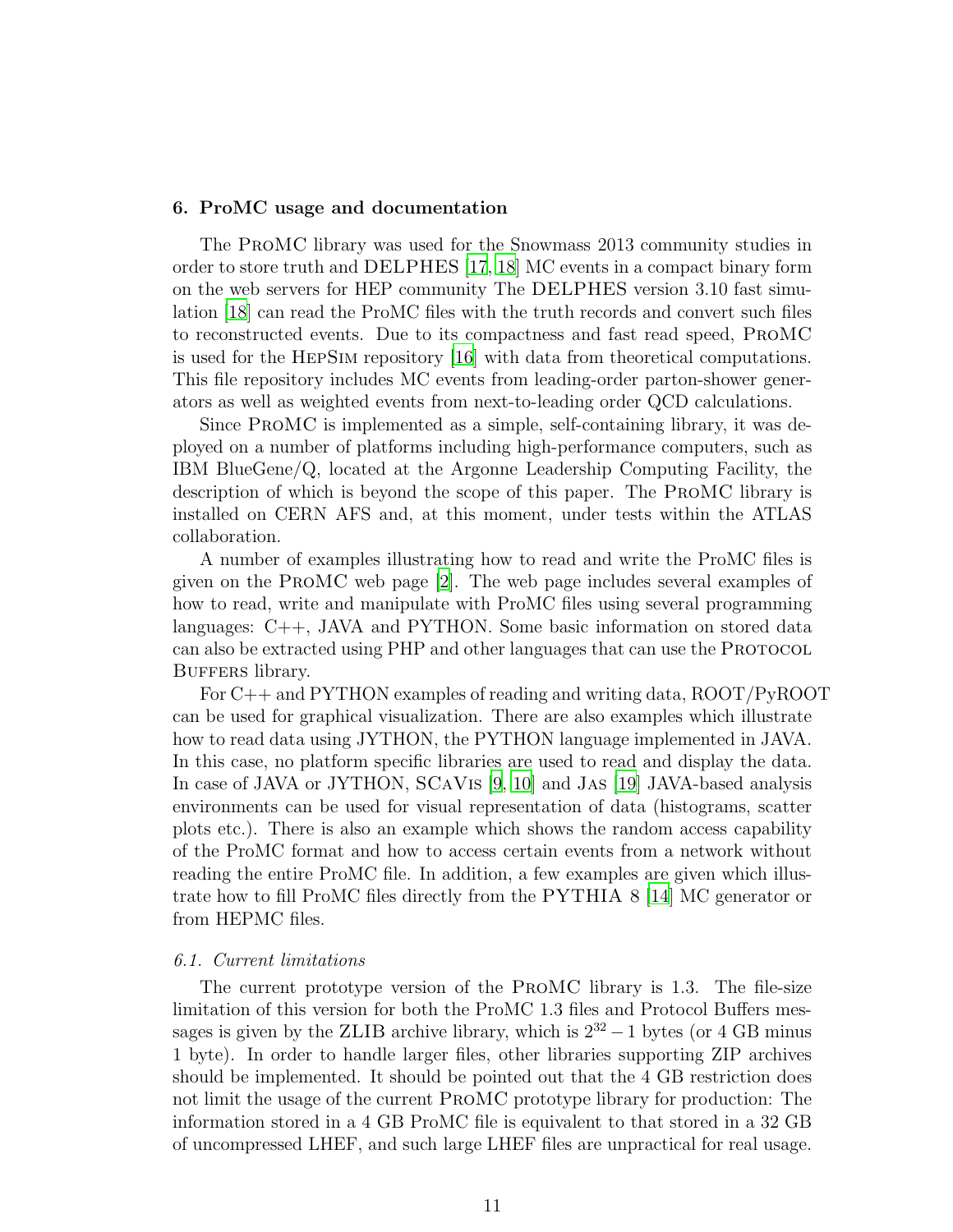#### 6. ProMC usage and documentation

The ProMC library was used for the Snowmass 2013 community studies in order to store truth and DELPHES [\[17](#page-13-3), [18](#page-13-4)] MC events in a compact binary form on the web servers for HEP community The DELPHES version 3.10 fast simulation [\[18\]](#page-13-4) can read the ProMC files with the truth records and convert such files to reconstructed events. Due to its compactness and fast read speed, ProMC is used for the HepSim repository [\[16](#page-13-2)] with data from theoretical computations. This file repository includes MC events from leading-order parton-shower generators as well as weighted events from next-to-leading order QCD calculations.

Since ProMC is implemented as a simple, self-containing library, it was deployed on a number of platforms including high-performance computers, such as IBM BlueGene/Q, located at the Argonne Leadership Computing Facility, the description of which is beyond the scope of this paper. The ProMC library is installed on CERN AFS and, at this moment, under tests within the ATLAS collaboration.

A number of examples illustrating how to read and write the ProMC files is given on the ProMC web page [\[2\]](#page-12-1). The web page includes several examples of how to read, write and manipulate with ProMC files using several programming languages: C++, JAVA and PYTHON. Some basic information on stored data can also be extracted using PHP and other languages that can use the PROTOCOL BUFFERS library.

For C++ and PYTHON examples of reading and writing data, ROOT/PyROOT can be used for graphical visualization. There are also examples which illustrate how to read data using JYTHON, the PYTHON language implemented in JAVA. In this case, no platform specific libraries are used to read and display the data. In case of JAVA or JYTHON, SCaVis [\[9,](#page-12-10) [10](#page-12-8)] and Jas [\[19\]](#page-13-5) JAVA-based analysis environments can be used for visual representation of data (histograms, scatter plots etc.). There is also an example which shows the random access capability of the ProMC format and how to access certain events from a network without reading the entire ProMC file. In addition, a few examples are given which illustrate how to fill ProMC files directly from the PYTHIA 8 [\[14\]](#page-13-0) MC generator or from HEPMC files.

## *6.1. Current limitations*

The current prototype version of the ProMC library is 1.3. The file-size limitation of this version for both the ProMC 1.3 files and Protocol Buffers messages is given by the ZLIB archive library, which is  $2^{32} - 1$  bytes (or 4 GB minus 1 byte). In order to handle larger files, other libraries supporting ZIP archives should be implemented. It should be pointed out that the 4 GB restriction does not limit the usage of the current ProMC prototype library for production: The information stored in a 4 GB ProMC file is equivalent to that stored in a 32 GB of uncompressed LHEF, and such large LHEF files are unpractical for real usage.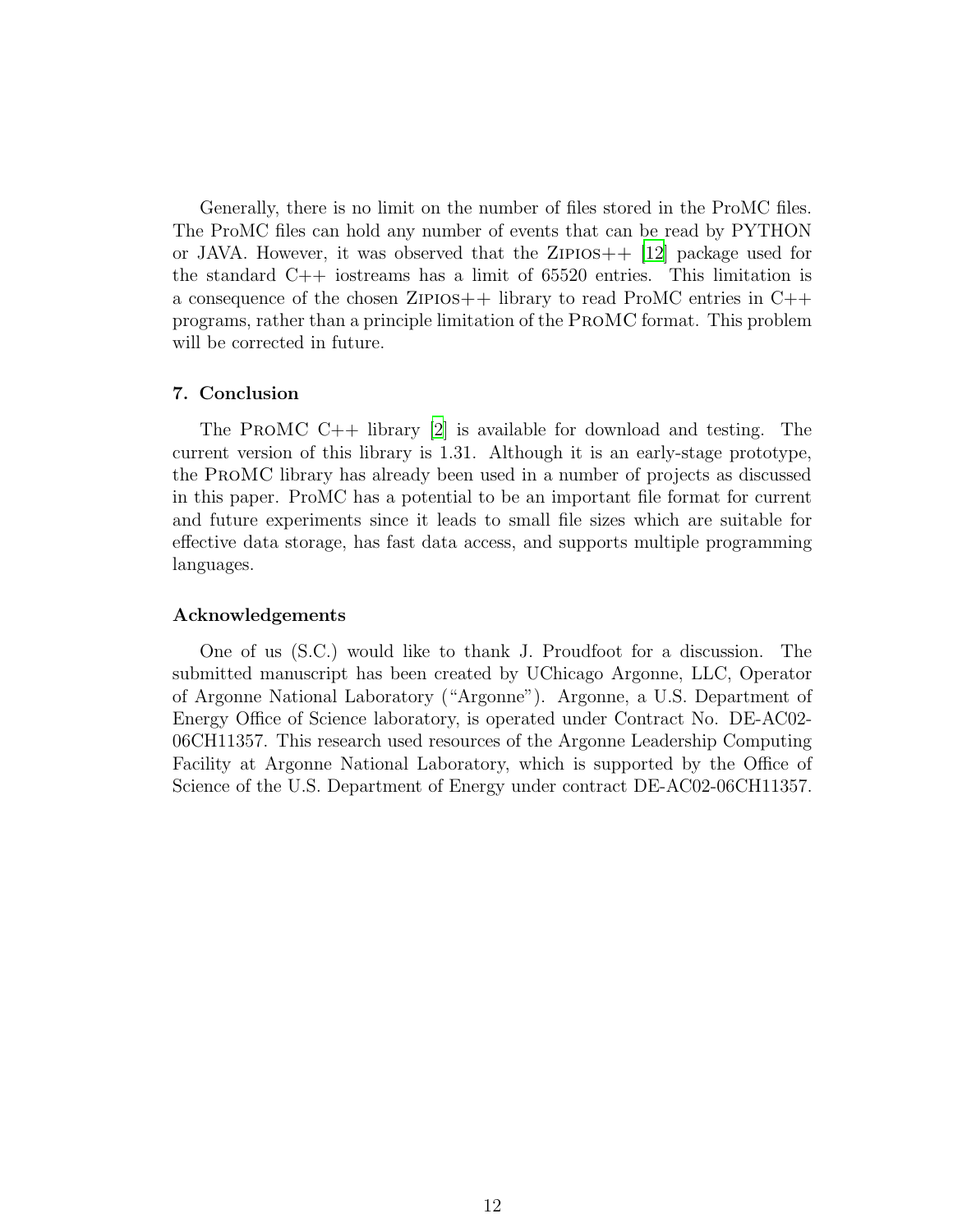Generally, there is no limit on the number of files stored in the ProMC files. The ProMC files can hold any number of events that can be read by PYTHON or JAVA. However, it was observed that the ZIPIOS $++$  [\[12\]](#page-12-11) package used for the standard C++ iostreams has a limit of 65520 entries. This limitation is a consequence of the chosen ZIPIOS $++$  library to read ProMC entries in  $C++$ programs, rather than a principle limitation of the ProMC format. This problem will be corrected in future.

### 7. Conclusion

The ProMC C++ library [\[2\]](#page-12-1) is available for download and testing. The current version of this library is 1.31. Although it is an early-stage prototype, the ProMC library has already been used in a number of projects as discussed in this paper. ProMC has a potential to be an important file format for current and future experiments since it leads to small file sizes which are suitable for effective data storage, has fast data access, and supports multiple programming languages.

# Acknowledgements

One of us (S.C.) would like to thank J. Proudfoot for a discussion. The submitted manuscript has been created by UChicago Argonne, LLC, Operator of Argonne National Laboratory ("Argonne"). Argonne, a U.S. Department of Energy Office of Science laboratory, is operated under Contract No. DE-AC02- 06CH11357. This research used resources of the Argonne Leadership Computing Facility at Argonne National Laboratory, which is supported by the Office of Science of the U.S. Department of Energy under contract DE-AC02-06CH11357.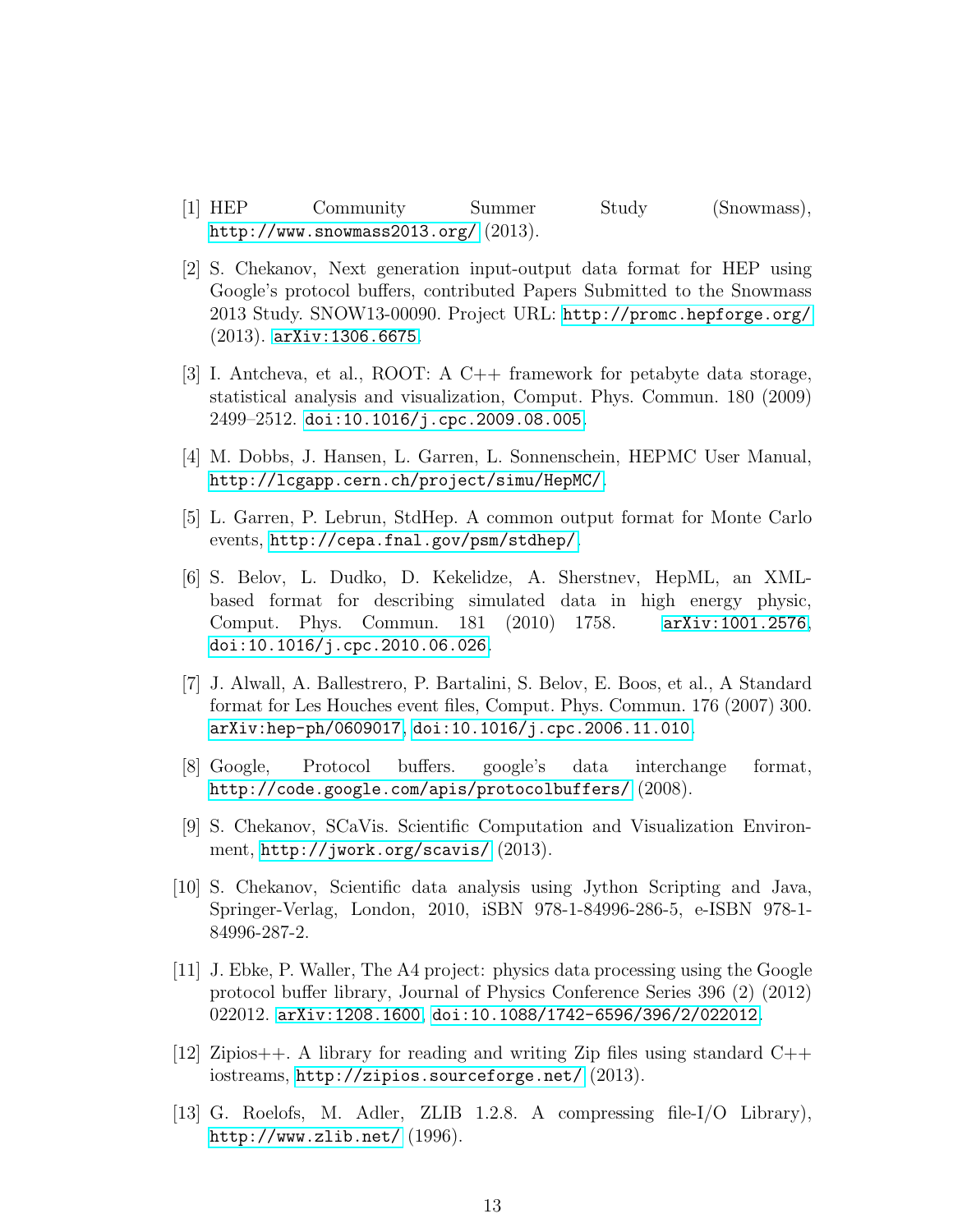- <span id="page-12-0"></span>[1] HEP Community Summer Study (Snowmass), <http://www.snowmass2013.org/> (2013).
- <span id="page-12-1"></span>[2] S. Chekanov, Next generation input-output data format for HEP using Google's protocol buffers, contributed Papers Submitted to the Snowmass 2013 Study. SNOW13-00090. Project URL: <http://promc.hepforge.org/> (2013). [arXiv:1306.6675](http://arxiv.org/abs/1306.6675).
- <span id="page-12-2"></span>[3] I. Antcheva, et al., ROOT: A C++ framework for petabyte data storage, statistical analysis and visualization, Comput. Phys. Commun. 180 (2009) 2499–2512. [doi:10.1016/j.cpc.2009.08.005](http://dx.doi.org/10.1016/j.cpc.2009.08.005).
- <span id="page-12-3"></span>[4] M. Dobbs, J. Hansen, L. Garren, L. Sonnenschein, HEPMC User Manual, <http://lcgapp.cern.ch/project/simu/HepMC/>.
- <span id="page-12-4"></span>[5] L. Garren, P. Lebrun, StdHep. A common output format for Monte Carlo events, <http://cepa.fnal.gov/psm/stdhep/>.
- <span id="page-12-5"></span>[6] S. Belov, L. Dudko, D. Kekelidze, A. Sherstnev, HepML, an XMLbased format for describing simulated data in high energy physic, Comput. Phys. Commun. 181 (2010) 1758. [arXiv:1001.2576](http://arxiv.org/abs/1001.2576), [doi:10.1016/j.cpc.2010.06.026](http://dx.doi.org/10.1016/j.cpc.2010.06.026).
- <span id="page-12-6"></span>[7] J. Alwall, A. Ballestrero, P. Bartalini, S. Belov, E. Boos, et al., A Standard format for Les Houches event files, Comput. Phys. Commun. 176 (2007) 300. [arXiv:hep-ph/0609017](http://arxiv.org/abs/hep-ph/0609017), [doi:10.1016/j.cpc.2006.11.010](http://dx.doi.org/10.1016/j.cpc.2006.11.010).
- <span id="page-12-7"></span>[8] Google, Protocol buffers. google's data interchange format, <http://code.google.com/apis/protocolbuffers/> (2008).
- <span id="page-12-10"></span>[9] S. Chekanov, SCaVis. Scientific Computation and Visualization Environment, <http://jwork.org/scavis/> (2013).
- <span id="page-12-8"></span>[10] S. Chekanov, Scientific data analysis using Jython Scripting and Java, Springer-Verlag, London, 2010, iSBN 978-1-84996-286-5, e-ISBN 978-1- 84996-287-2.
- <span id="page-12-9"></span>[11] J. Ebke, P. Waller, The A4 project: physics data processing using the Google protocol buffer library, Journal of Physics Conference Series 396 (2) (2012) 022012. [arXiv:1208.1600](http://arxiv.org/abs/1208.1600), [doi:10.1088/1742-6596/396/2/022012](http://dx.doi.org/10.1088/1742-6596/396/2/022012).
- <span id="page-12-11"></span>[12] Zipios++. A library for reading and writing Zip files using standard  $C_{++}$ iostreams, <http://zipios.sourceforge.net/> (2013).
- <span id="page-12-12"></span>[13] G. Roelofs, M. Adler, ZLIB 1.2.8. A compressing file-I/O Library), <http://www.zlib.net/> (1996).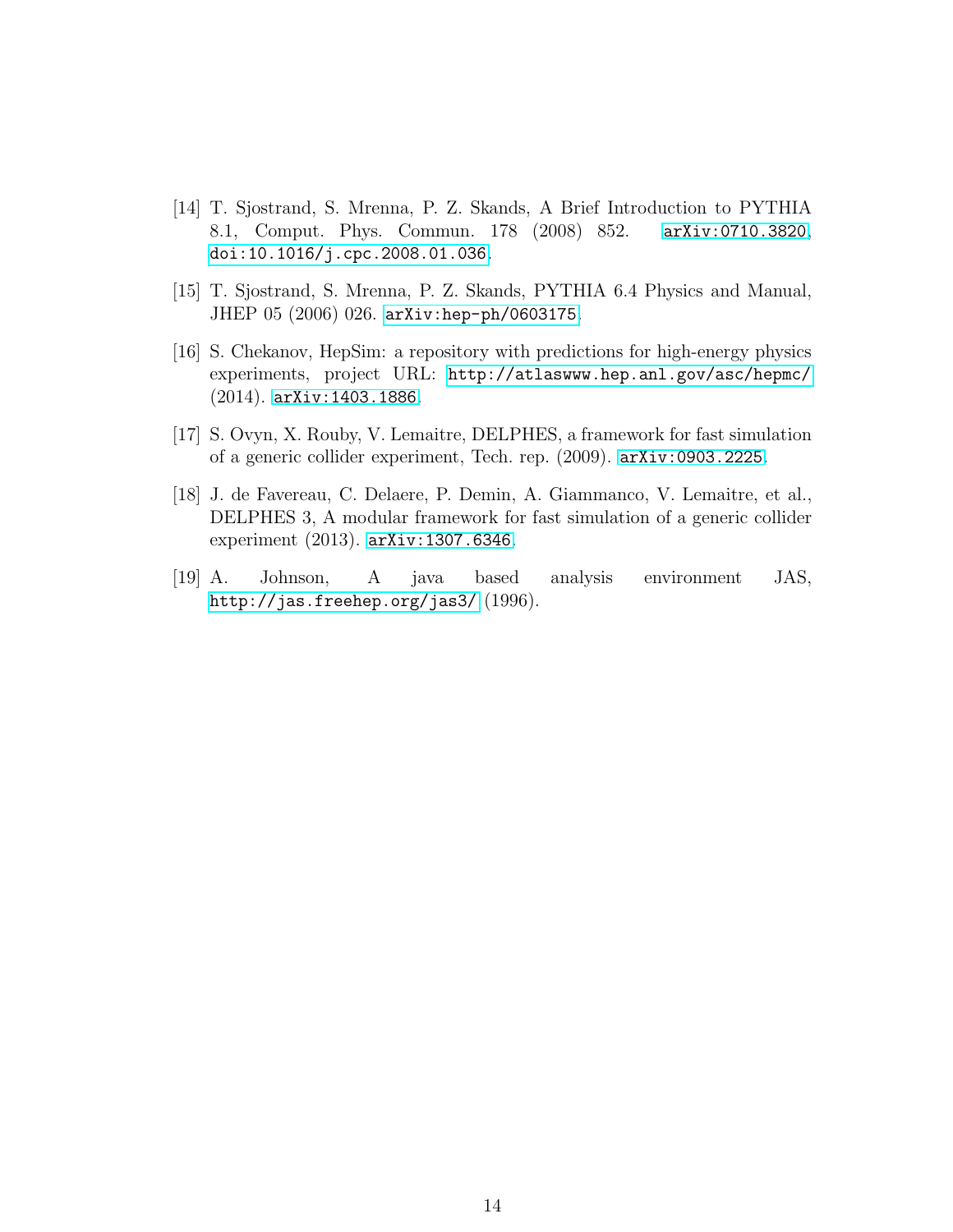- <span id="page-13-0"></span>[14] T. Sjostrand, S. Mrenna, P. Z. Skands, A Brief Introduction to PYTHIA 8.1, Comput. Phys. Commun. 178 (2008) 852. [arXiv:0710.3820](http://arxiv.org/abs/0710.3820), [doi:10.1016/j.cpc.2008.01.036](http://dx.doi.org/10.1016/j.cpc.2008.01.036).
- <span id="page-13-1"></span>[15] T. Sjostrand, S. Mrenna, P. Z. Skands, PYTHIA 6.4 Physics and Manual, JHEP 05 (2006) 026. [arXiv:hep-ph/0603175](http://arxiv.org/abs/hep-ph/0603175).
- <span id="page-13-2"></span>[16] S. Chekanov, HepSim: a repository with predictions for high-energy physics experiments, project URL: <http://atlaswww.hep.anl.gov/asc/hepmc/> (2014). [arXiv:1403.1886](http://arxiv.org/abs/1403.1886).
- <span id="page-13-3"></span>[17] S. Ovyn, X. Rouby, V. Lemaitre, DELPHES, a framework for fast simulation of a generic collider experiment, Tech. rep. (2009). [arXiv:0903.2225](http://arxiv.org/abs/0903.2225).
- <span id="page-13-4"></span>[18] J. de Favereau, C. Delaere, P. Demin, A. Giammanco, V. Lemaitre, et al., DELPHES 3, A modular framework for fast simulation of a generic collider experiment (2013). [arXiv:1307.6346](http://arxiv.org/abs/1307.6346).
- <span id="page-13-5"></span>[19] A. Johnson, A java based analysis environment JAS, <http://jas.freehep.org/jas3/> (1996).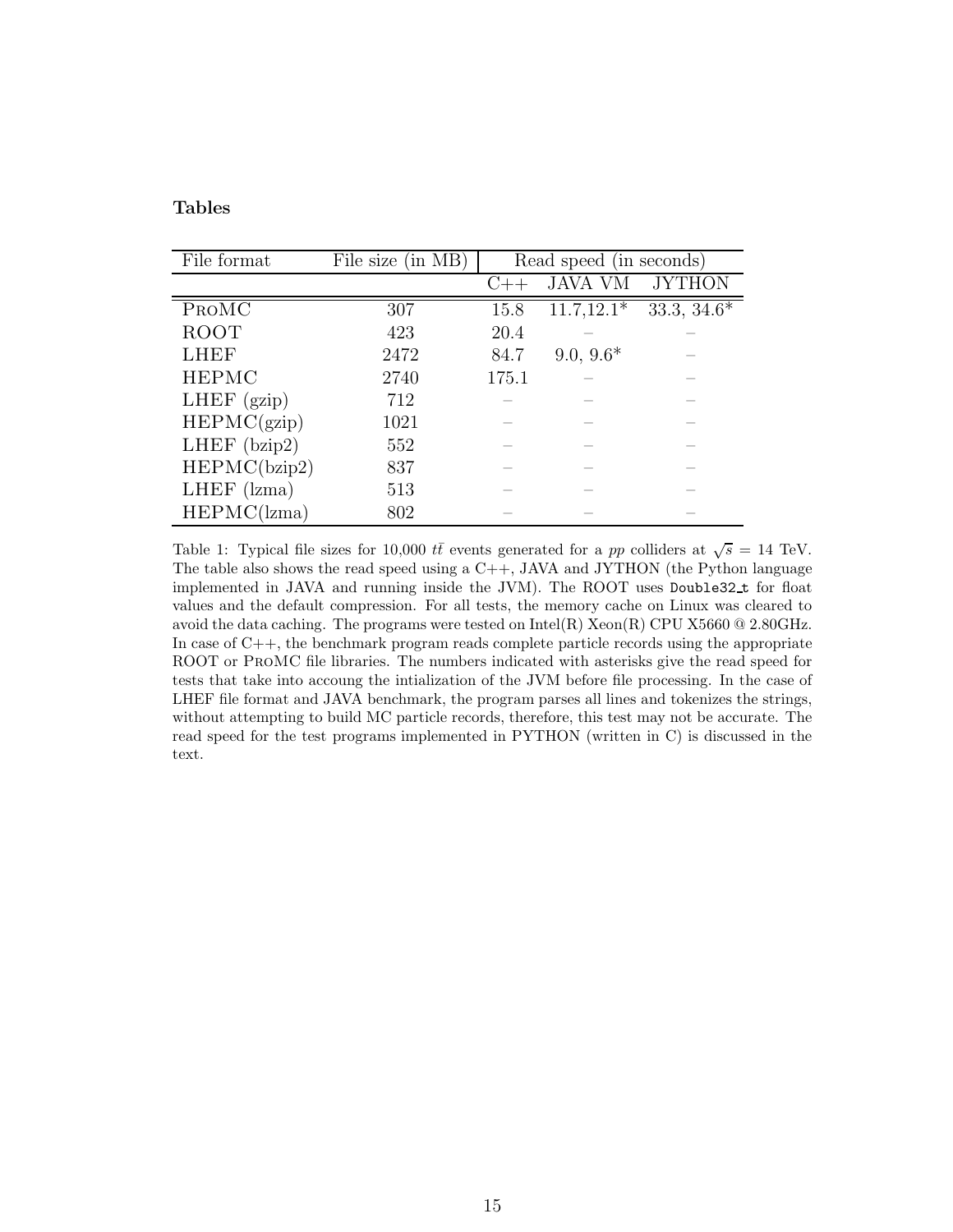# Tables

| File format       | File size (in MB) | Read speed (in seconds) |                         |                           |  |  |
|-------------------|-------------------|-------------------------|-------------------------|---------------------------|--|--|
|                   |                   | $( ) +$                 | <b>JAVA VM</b>          | <b>JYTHON</b>             |  |  |
| PROMC             | 307               | 15.8                    | $11.7,\overline{12.1*}$ | $33.3, \overline{34.6^*}$ |  |  |
| ROOT              | 423               | 20.4                    |                         |                           |  |  |
| <b>LHEF</b>       | 2472              | 84.7                    | $9.0, 9.6*$             |                           |  |  |
| <b>HEPMC</b>      | 2740              | 175.1                   |                         |                           |  |  |
| LHEF $(gzip)$     | 712               |                         |                         |                           |  |  |
| HEPMC(gzip)       | 1021              |                         |                         |                           |  |  |
| LHEF $(bzip2)$    | 552               |                         |                         |                           |  |  |
| HEPMC(bzip2)      | 837               |                         |                         |                           |  |  |
| $LHEF$ ( $lzma$ ) | 513               |                         |                         |                           |  |  |
| HEPMC(lzma)       | 802               |                         |                         |                           |  |  |

<span id="page-14-0"></span>Table 1: Typical file sizes for 10,000  $t\bar{t}$  events generated for a pp colliders at  $\sqrt{s} = 14$  TeV. The table also shows the read speed using a  $C_{++}$ , JAVA and JYTHON (the Python language implemented in JAVA and running inside the JVM). The ROOT uses Double32 t for float values and the default compression. For all tests, the memory cache on Linux was cleared to avoid the data caching. The programs were tested on  $\text{Intel(R)} \text{ Xeon(R)}$  CPU X5660 @ 2.80GHz. In case of  $C_{++}$ , the benchmark program reads complete particle records using the appropriate ROOT or ProMC file libraries. The numbers indicated with asterisks give the read speed for tests that take into accoung the intialization of the JVM before file processing. In the case of LHEF file format and JAVA benchmark, the program parses all lines and tokenizes the strings, without attempting to build MC particle records, therefore, this test may not be accurate. The read speed for the test programs implemented in PYTHON (written in C) is discussed in the text.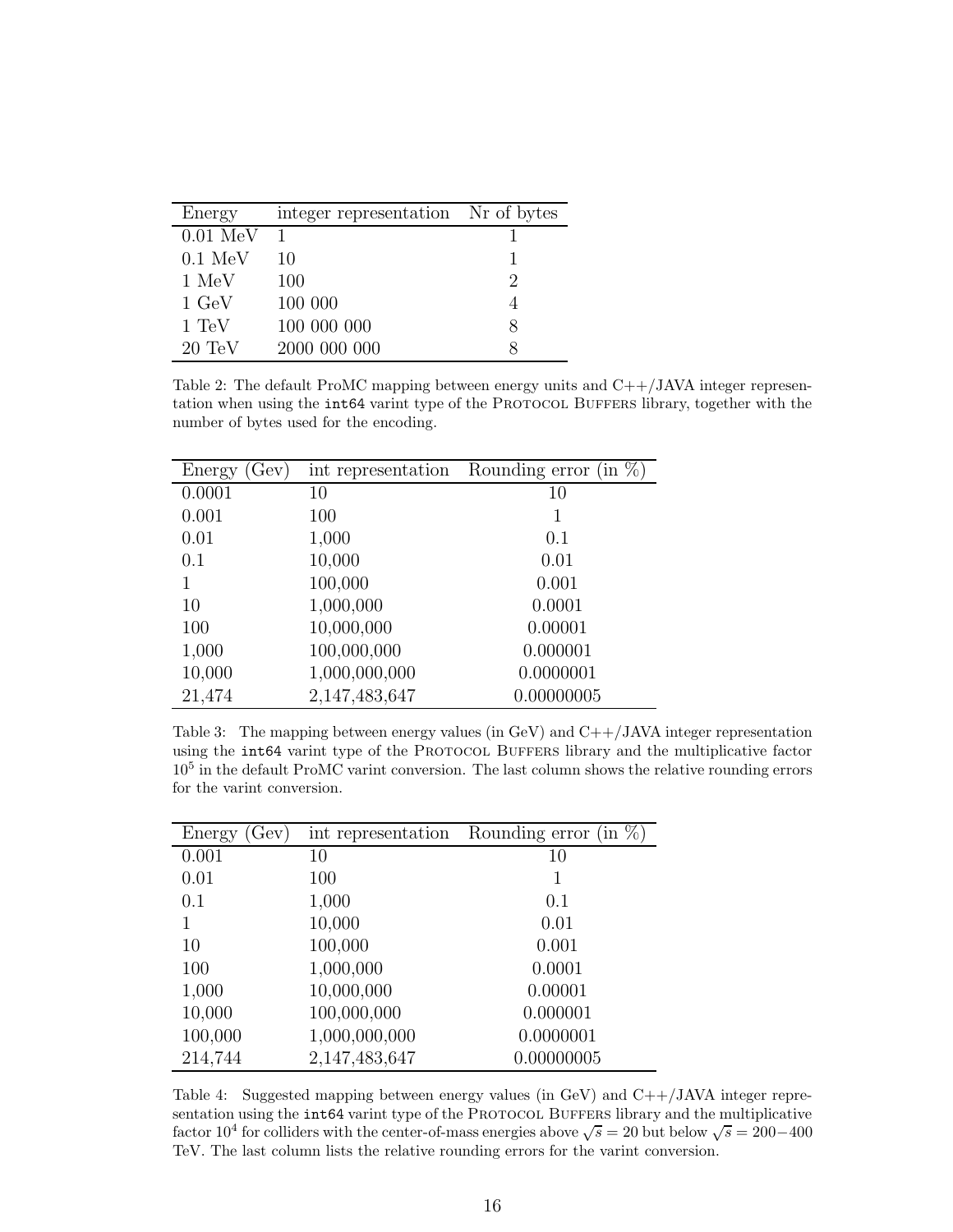| Energy             | integer representation Nr of bytes |   |
|--------------------|------------------------------------|---|
| $0.01 \text{ MeV}$ | $\overline{1}$                     |   |
| $0.1 \text{ MeV}$  | 10                                 |   |
| 1 MeV              | 100                                | 2 |
| $1 \text{ GeV}$    | 100 000                            |   |
| $1 \text{ TeV}$    | 100 000 000                        | x |
| $20 \text{ TeV}$   | 2000 000 000                       |   |

<span id="page-15-0"></span>Table 2: The default ProMC mapping between energy units and  $C++/JAVA$  integer representation when using the int64 varint type of the PROTOCOL BUFFERS library, together with the number of bytes used for the encoding.

| Gev)<br>Energy | int representation | $(in \%)$<br>Rounding error |
|----------------|--------------------|-----------------------------|
| 0.0001         | 10                 | 10                          |
| 0.001          | 100                |                             |
| 0.01           | 1,000              | 0.1                         |
| 0.1            | 10,000             | 0.01                        |
| 1              | 100,000            | 0.001                       |
| 10             | 1,000,000          | 0.0001                      |
| 100            | 10,000,000         | 0.00001                     |
| 1,000          | 100,000,000        | 0.000001                    |
| 10,000         | 1,000,000,000      | 0.0000001                   |
| 21,474         | 2,147,483,647      | 0.00000005                  |

<span id="page-15-1"></span>Table 3: The mapping between energy values (in GeV) and  $C++/JAVA$  integer representation using the int64 varint type of the PROTOCOL BUFFERS library and the multiplicative factor 10<sup>5</sup> in the default ProMC varint conversion. The last column shows the relative rounding errors for the varint conversion.

| Energy (Gev) | int representation | Rounding error (in $\%$ ) |
|--------------|--------------------|---------------------------|
| 0.001        | 10                 | 10                        |
| 0.01         | 100                |                           |
| 0.1          | 1,000              | 0.1                       |
| 1            | 10,000             | 0.01                      |
| 10           | 100,000            | 0.001                     |
| 100          | 1,000,000          | 0.0001                    |
| 1,000        | 10,000,000         | 0.00001                   |
| 10,000       | 100,000,000        | 0.000001                  |
| 100,000      | 1,000,000,000      | 0.0000001                 |
| 214,744      | 2,147,483,647      | 0.00000005                |

<span id="page-15-2"></span>Table 4: Suggested mapping between energy values (in GeV) and C++/JAVA integer representation using the int64 varint type of the PROTOCOL BUFFERS library and the multiplicative factor 10<sup>4</sup> for colliders with the center-of-mass energies above  $\sqrt{s} = 20$  but below  $\sqrt{s} = 200-400$ TeV. The last column lists the relative rounding errors for the varint conversion.